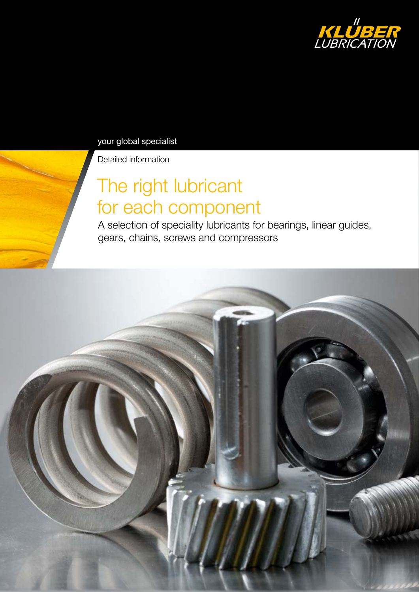

your global specialist

Detailed information

# The right lubricant for each component

A selection of speciality lubricants for bearings, linear guides, gears, chains, screws and compressors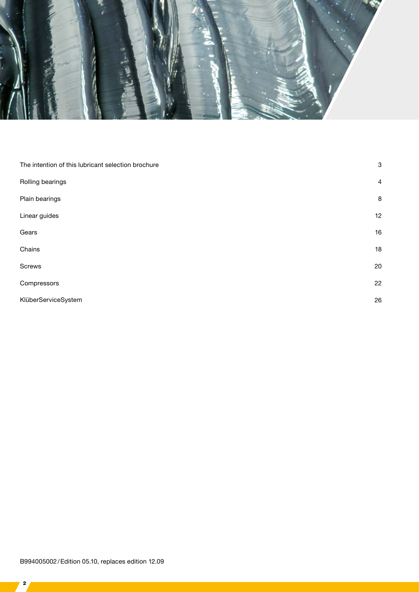

| The intention of this lubricant selection brochure | $\mathbf{3}$   |
|----------------------------------------------------|----------------|
| Rolling bearings                                   | $\overline{4}$ |
| Plain bearings                                     | 8              |
| Linear guides                                      | 12             |
| Gears                                              | 16             |
| Chains                                             | 18             |
| Screws                                             | 20             |
| Compressors                                        | 22             |
| KlüberServiceSystem                                | 26             |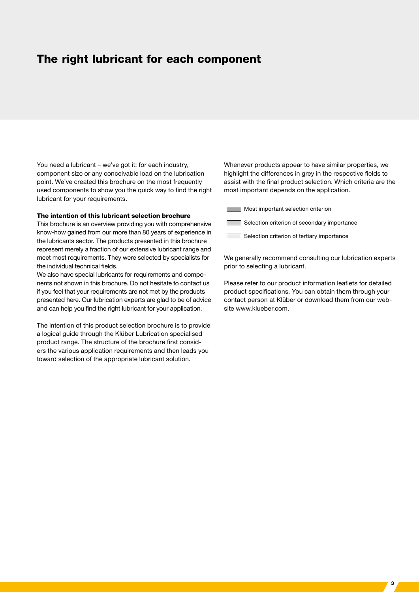### The right lubricant for each component

You need a lubricant – we've got it: for each industry, component size or any conceivable load on the lubrication point. We've created this brochure on the most frequently used components to show you the quick way to find the right lubricant for your requirements.

#### The intention of this lubricant selection brochure

This brochure is an overview providing you with comprehensive know-how gained from our more than 80 years of experience in the lubricants sector. The products presented in this brochure represent merely a fraction of our extensive lubricant range and meet most requirements. They were selected by specialists for the individual technical fields.

We also have special lubricants for requirements and components not shown in this brochure. Do not hesitate to contact us if you feel that your requirements are not met by the products presented here. Our lubrication experts are glad to be of advice and can help you find the right lubricant for your application.

The intention of this product selection brochure is to provide a logical guide through the Klüber Lubrication specialised product range. The structure of the brochure first considers the various application requirements and then leads you toward selection of the appropriate lubricant solution.

Whenever products appear to have similar properties, we highlight the differences in grey in the respective fields to assist with the final product selection. Which criteria are the most important depends on the application.

**Most important selection criterion** 

Selection criterion of secondary importance

Selection criterion of tertiary importance

We generally recommend consulting our lubrication experts prior to selecting a lubricant.

Please refer to our product information leaflets for detailed product specifications. You can obtain them through your contact person at Klüber or download them from our website www.klueber.com.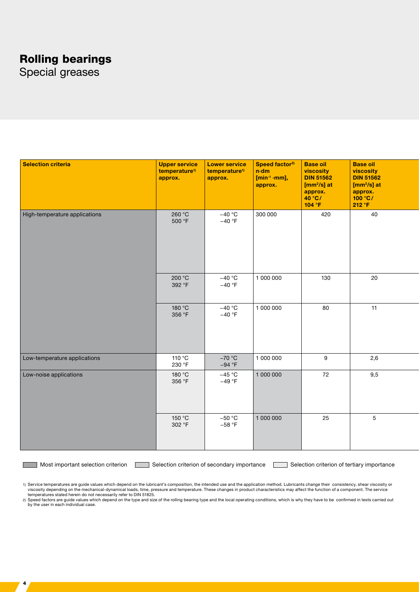# Rolling bearings

Special greases

| Selection criteria            | <b>Upper service</b><br>temperature <sup>1)</sup><br>approx. | <b>Lower service</b><br>temperature <sup>1)</sup><br>approx. | Speed factor <sup>2)</sup><br>$ n \cdot dm $<br>[min <sup>-1</sup> -mm],<br>$ $ approx. | <b>Base oil</b><br>viscosity<br><b>DIN 51562</b><br>$\sqrt{m^2/s}$ at<br>approx.<br>40 °C/<br>104 °F | <b>Base oil</b><br>viscosity<br>DIN 51562<br>$\sqrt{m^2/s}$ at<br>$\begin{vmatrix} \text{approx.} \ 100\ ^{\circ}\text{C} / \end{vmatrix}$<br>212 °F |
|-------------------------------|--------------------------------------------------------------|--------------------------------------------------------------|-----------------------------------------------------------------------------------------|------------------------------------------------------------------------------------------------------|------------------------------------------------------------------------------------------------------------------------------------------------------|
| High-temperature applications | 260 °C<br>500 °F                                             | $-40 °C$<br>$-40 °F$                                         | 300 000                                                                                 | 420                                                                                                  | 40                                                                                                                                                   |
|                               | 200 °C<br>392 °F                                             | $-40 °C$<br>$-40 °F$                                         | 1 000 000                                                                               | 130                                                                                                  | 20                                                                                                                                                   |
|                               | 180 °C<br>356 °F                                             | $-40 °C$<br>$-40 °F$                                         | 1 000 000                                                                               | 80                                                                                                   | 11                                                                                                                                                   |
| Low-temperature applications  | 110 °C<br>230 °F                                             | $-70 °C$<br>$-94 °F$                                         | 1 000 000                                                                               | 9                                                                                                    | 2,6                                                                                                                                                  |
| Low-noise applications        | 180 °C<br>356 °F                                             | $-45 °C$<br>$-49 °F$                                         | 1 000 000                                                                               | 72                                                                                                   | 9,5                                                                                                                                                  |
|                               | 150 °C<br>302 °F                                             | $-50 °C$<br>$-58 °F$                                         | 1 000 000                                                                               | 25                                                                                                   | $5\overline{)}$                                                                                                                                      |

 $\frac{1}{4}$ 

Most important selection criterion Selection criterion of secondary importance Selection criterion of tertiary importance

%1) Service temperatures are guide values which depend on the lubricant's composition, the intended use and the application method. Lubricants change their consistency, shear viscosity or<br>tiscosity depending on the mechani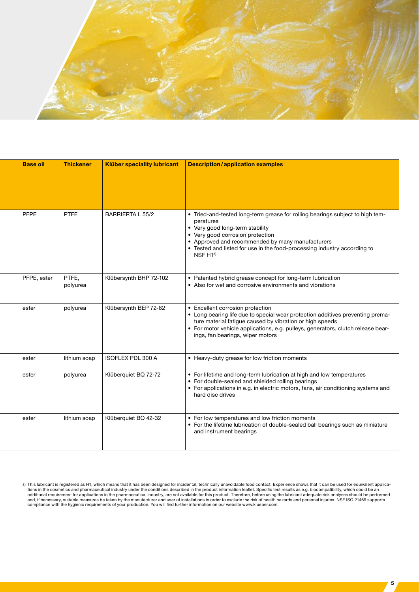

| <b>Base oil</b> | <b>Thickener</b>  | <b>Klüber speciality lubricant</b> | <b>Description/application examples</b>                                                                                                                                                                                                                                                                                  |
|-----------------|-------------------|------------------------------------|--------------------------------------------------------------------------------------------------------------------------------------------------------------------------------------------------------------------------------------------------------------------------------------------------------------------------|
|                 |                   |                                    |                                                                                                                                                                                                                                                                                                                          |
| <b>PFPE</b>     | <b>PTFE</b>       | <b>BARRIERTA L 55/2</b>            | • Tried-and-tested long-term grease for rolling bearings subject to high tem-<br>peratures<br>• Very good long-term stability<br>• Very good corrosion protection<br>• Approved and recommended by many manufacturers<br>• Tested and listed for use in the food-processing industry according to<br>NSF H <sub>13</sub> |
| PFPE, ester     | PTFE,<br>polyurea | Klübersynth BHP 72-102             | • Patented hybrid grease concept for long-term lubrication<br>• Also for wet and corrosive environments and vibrations                                                                                                                                                                                                   |
| ester           | polyurea          | Klübersynth BEP 72-82              | • Excellent corrosion protection<br>• Long bearing life due to special wear protection additives preventing prema-<br>ture material fatigue caused by vibration or high speeds<br>• For motor vehicle applications, e.g. pulleys, generators, clutch release bear-<br>ings, fan bearings, wiper motors                   |
| ester           | lithium soap      | <b>ISOFLEX PDL 300 A</b>           | • Heavy-duty grease for low friction moments                                                                                                                                                                                                                                                                             |
| ester           | polyurea          | Klüberquiet BQ 72-72               | • For lifetime and long-term lubrication at high and low temperatures<br>• For double-sealed and shielded rolling bearings<br>• For applications in e.g. in electric motors, fans, air conditioning systems and<br>hard disc drives                                                                                      |
| ester           | lithium soap      | Klüberquiet BQ 42-32               | • For low temperatures and low friction moments<br>• For the lifetime lubrication of double-sealed ball bearings such as miniature<br>and instrument bearings                                                                                                                                                            |

3) This lubricant is registered as H1, which means that it has been designed for incidental, technically unavoidable food contact. Experience shows that it can be used for equivalent applications in the cosmetics and pharm

 $\sqrt{5}$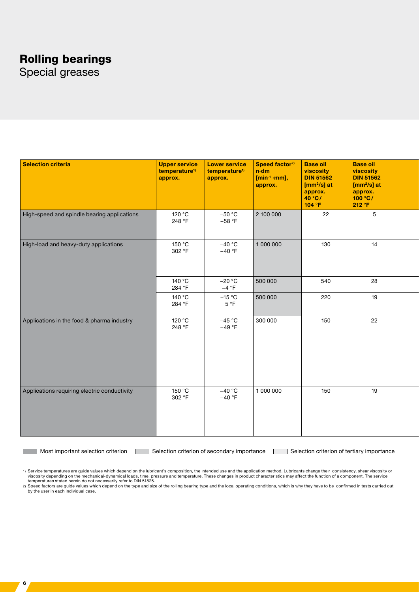# Rolling bearings

Special greases

| Selection criteria                           | <b>Upper service</b><br>temperature <sup>1)</sup><br>approx. | <b>Lower service</b><br>temperature <sup>1)</sup><br>approx. | Speed factor <sup>2)</sup><br>$n \cdot dm$<br>$[min-1·mm],$<br>approx. | <b>Base oil</b><br>viscosity<br><b>DIN 51562</b><br>$[mm^2/s]$ at<br>approx.<br>$40^{\circ}$ C/<br>104 °F | <b>Base oil</b><br>viscosity<br><b>DIN 51562</b><br>$[mm^2/s]$ at<br>approx.<br>100 °C/<br>212 °F |
|----------------------------------------------|--------------------------------------------------------------|--------------------------------------------------------------|------------------------------------------------------------------------|-----------------------------------------------------------------------------------------------------------|---------------------------------------------------------------------------------------------------|
| High-speed and spindle bearing applications  | 120 °C<br>248 °F                                             | $-50 °C$<br>$-58 °F$                                         | 2 100 000                                                              | 22                                                                                                        | $\sqrt{5}$                                                                                        |
| High-load and heavy-duty applications        | 150 °C<br>302 °F                                             | $-40 °C$<br>$-40 °F$                                         | 1 000 000                                                              | 130                                                                                                       | 14                                                                                                |
|                                              | 140 °C<br>284 °F                                             | $-20 °C$<br>$-4 °F$                                          | 500 000                                                                | 540                                                                                                       | 28                                                                                                |
|                                              | 140 °C<br>284 °F                                             | $-15 °C$<br>5 °F                                             | 500 000                                                                | 220                                                                                                       | 19                                                                                                |
| Applications in the food & pharma industry   | 120 °C<br>248 °F                                             | $-45 °C$<br>$-49 °F$                                         | 300 000                                                                | 150                                                                                                       | 22                                                                                                |
| Applications requiring electric conductivity | 150 °C<br>302 °F                                             | $-40 °C$<br>$-40 °F$                                         | 1 000 000                                                              | 150                                                                                                       | 19                                                                                                |

6

Most important selection criterion **Selection criterion** of secondary importance Selection criterion of tertiary importance

1) Service temperatures are guide values which depend on the lubricant's composition, the intended use and the application method. Lubricants change their consistency, shear viscosity or<br>viscosity depending on the mechanic

temperatures stated herein do not necessarily refer to DIN 51825.<br>2) Speed factors are guide values which depend on the type and size of the rolling bearing type and the local operating conditions, which is why they have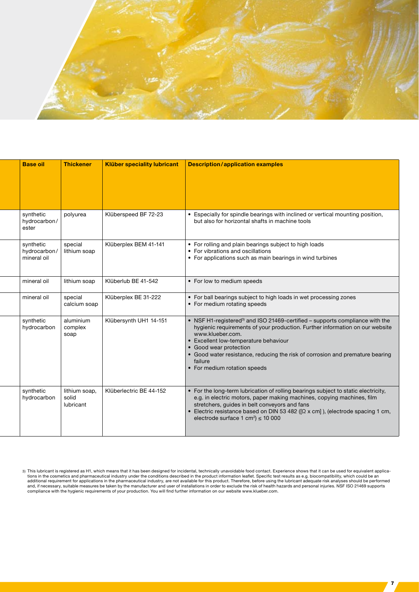

| <b>Base oil</b>                          | <b>Thickener</b>                    | <b>Klüber speciality lubricant</b> | <b>Description/application examples</b>                                                                                                                                                                                                                                                                                                                                                     |
|------------------------------------------|-------------------------------------|------------------------------------|---------------------------------------------------------------------------------------------------------------------------------------------------------------------------------------------------------------------------------------------------------------------------------------------------------------------------------------------------------------------------------------------|
|                                          |                                     |                                    |                                                                                                                                                                                                                                                                                                                                                                                             |
| synthetic<br>hydrocarbon/<br>ester       | polyurea                            | Klüberspeed BF 72-23               | • Especially for spindle bearings with inclined or vertical mounting position,<br>but also for horizontal shafts in machine tools                                                                                                                                                                                                                                                           |
| synthetic<br>hydrocarbon/<br>mineral oil | special<br>lithium soap             | Klüberplex BEM 41-141              | • For rolling and plain bearings subject to high loads<br>• For vibrations and oscillations<br>• For applications such as main bearings in wind turbines                                                                                                                                                                                                                                    |
| mineral oil                              | lithium soap                        | Klüberlub BE 41-542                | • For low to medium speeds                                                                                                                                                                                                                                                                                                                                                                  |
| mineral oil                              | special<br>calcium soap             | Klüberplex BE 31-222               | • For ball bearings subject to high loads in wet processing zones<br>• For medium rotating speeds                                                                                                                                                                                                                                                                                           |
| synthetic<br>hydrocarbon                 | aluminium<br>complex<br>soap        | Klübersynth UH1 14-151             | • NSF H1-registered <sup>3)</sup> and ISO 21469-certified - supports compliance with the<br>hygienic requirements of your production. Further information on our website<br>www.klueber.com.<br>• Excellent low-temperature behaviour<br>• Good wear protection<br>• Good water resistance, reducing the risk of corrosion and premature bearing<br>failure<br>• For medium rotation speeds |
| synthetic<br>hydrocarbon                 | lithium soap,<br>solid<br>lubricant | Klüberlectric BE 44-152            | • For the long-term lubrication of rolling bearings subject to static electricity,<br>e.g. in electric motors, paper making machines, copying machines, film<br>stretchers, guides in belt conveyors and fans<br>• Electric resistance based on DIN 53 482 ( $[Ω x cm]$ ), (electrode spacing 1 cm,<br>electrode surface 1 cm <sup>2</sup> ) $\leq$ 10 000                                  |

<sup>3)</sup> This lubricant is registered as H1, which means that it has been designed for incidental, technically unavoidable food contact. Experience shows that it can be used for equivalent applications in the cosmetics and pharm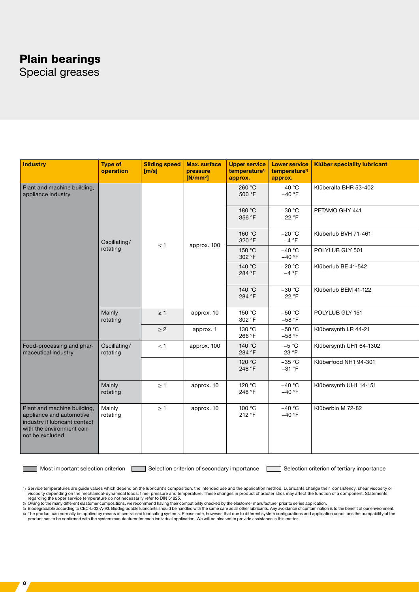### Plain bearings

Special greases

| Industry                                                                                                                                 | <b>Type of</b><br>operation | <b>Sliding speed</b><br>[m/s] | Max. surface<br>pressure<br>[N/mm <sup>2</sup> ] | temperature <sup>1)</sup><br>approx. | temperature <sup>1)</sup><br>approx. | Upper service   Lower service   Klüber speciality lubricant |
|------------------------------------------------------------------------------------------------------------------------------------------|-----------------------------|-------------------------------|--------------------------------------------------|--------------------------------------|--------------------------------------|-------------------------------------------------------------|
| Plant and machine building,<br>appliance industry                                                                                        |                             |                               |                                                  | 260 °C<br>500 °F                     | $-40 °C$<br>$-40 °F$                 | Klüberalfa BHR 53-402                                       |
|                                                                                                                                          |                             |                               |                                                  | 180 °C<br>356 °F                     | $-30 °C$<br>$-22 °F$                 | PETAMO GHY 441                                              |
|                                                                                                                                          | Oscillating/                | < 1                           |                                                  | 160 °C<br>320 °F                     | $-20 °C$<br>$-4 °F$                  | Klüberlub BVH 71-461                                        |
|                                                                                                                                          | rotating                    |                               | approx. 100                                      | 150 °C<br>302 °F                     | $-40 °C$<br>$-40 °F$                 | POLYLUB GLY 501                                             |
|                                                                                                                                          |                             |                               |                                                  | 140 °C<br>284 °F                     | $-20 °C$<br>$-4 °F$                  | Klüberlub BE 41-542                                         |
|                                                                                                                                          |                             |                               |                                                  | 140 °C<br>284 °F                     | $-30 °C$<br>$-22 °F$                 | Klüberlub BEM 41-122                                        |
|                                                                                                                                          | Mainly<br>rotating          | $\geq 1$                      | approx. 10                                       | 150 °C<br>302 °F                     | $-50 °C$<br>$-58 °F$                 | POLYLUB GLY 151                                             |
|                                                                                                                                          |                             | $\geq$ 2                      | approx. 1                                        | 130 °C<br>266 °F                     | $-50 °C$<br>$-58 °F$                 | Klübersynth LR 44-21                                        |
| Food-processing and phar-<br>maceutical industry                                                                                         | Oscillating/<br>rotating    | < 1                           | approx. 100                                      | 140 °C<br>284 °F                     | $-5 °C$<br>23 °F                     | Klübersynth UH1 64-1302                                     |
|                                                                                                                                          |                             |                               |                                                  | 120 °C<br>248 °F                     | $-35 °C$<br>$-31 °F$                 | Klüberfood NH1 94-301                                       |
|                                                                                                                                          | Mainly<br>rotating          | $\geq 1$                      | approx. 10                                       | 120 °C<br>248 °F                     | $-40 °C$<br>$-40 °F$                 | Klübersynth UH1 14-151                                      |
| Plant and machine building,<br>appliance and automotive<br>industry if lubricant contact<br>with the environment can-<br>not be excluded | Mainly<br>rotating          | $\geq 1$                      | approx. 10                                       | 100 °C<br>212 °F                     | $-40 °C$<br>$-40 °F$                 | Klüberbio M 72-82                                           |

8

Most important selection criterion **Selection criterion** Selection criterion of secondary importance Selection criterion of tertiary importance

1) Service temperatures are guide values which depend on the lubricant's composition, the intended use and the application method. Lubricants change their consistency, shear viscosity or viscosity depending on the mechanical-dynamical loads, time, pressure and temperature. These changes in product characteristics may affect the function of a component. Statements regarding the upper service temperature do not necessarily refer to DIN 51825.<br>2) Owing to the many different elastomer compositions, we recommend having their compatibility checked by the elastomer manufacturer prior to s

3) Biodegradable according to CEC-L-33-A-93. Biodegradable lubricants should be handled with the same care as all other lubricants. Any avoidance of contamination is to the benefit of our environment.<br>4) The product can no product has to be confirmed with the system manufacturer for each individual application. We will be pleased to provide assistance in this matter.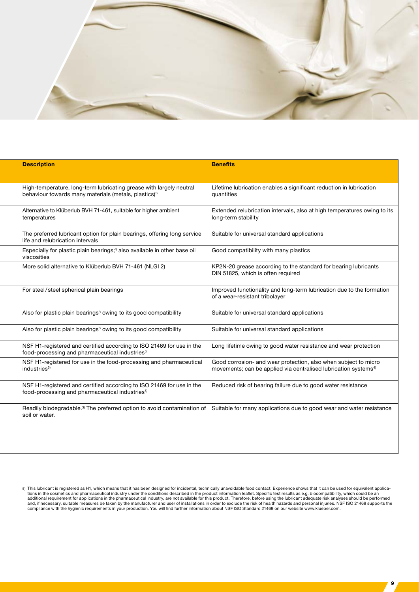

| <b>Description</b>                                                                                                                       | <b>Benefits</b>                                                                                                                                |
|------------------------------------------------------------------------------------------------------------------------------------------|------------------------------------------------------------------------------------------------------------------------------------------------|
|                                                                                                                                          |                                                                                                                                                |
| High-temperature, long-term lubricating grease with largely neutral<br>behaviour towards many materials (metals, plastics) <sup>2)</sup> | Lifetime lubrication enables a significant reduction in lubrication<br>quantities                                                              |
| Alternative to Klüberlub BVH 71-461, suitable for higher ambient<br>temperatures                                                         | Extended relubrication intervals, also at high temperatures owing to its<br>long-term stability                                                |
| The preferred lubricant option for plain bearings, offering long service<br>life and relubrication intervals                             | Suitable for universal standard applications                                                                                                   |
| Especially for plastic plain bearings; <sup>3</sup> also available in other base oil<br>viscosities                                      | Good compatibility with many plastics                                                                                                          |
| More solid alternative to Klüberlub BVH 71-461 (NLGI 2)                                                                                  | KP2N-20 grease according to the standard for bearing lubricants<br>DIN 51825, which is often required                                          |
| For steel/steel spherical plain bearings                                                                                                 | Improved functionality and long-term lubrication due to the formation<br>of a wear-resistant tribolayer                                        |
| Also for plastic plain bearings <sup>3</sup> owing to its good compatibility                                                             | Suitable for universal standard applications                                                                                                   |
| Also for plastic plain bearings <sup>2</sup> owing to its good compatibility                                                             | Suitable for universal standard applications                                                                                                   |
| NSF H1-registered and certified according to ISO 21469 for use in the<br>food-processing and pharmaceutical industries <sup>5)</sup>     | Long lifetime owing to good water resistance and wear protection                                                                               |
| NSF H1-registered for use in the food-processing and pharmaceutical<br>industries <sup>5)</sup>                                          | Good corrosion- and wear protection, also when subject to micro<br>movements; can be applied via centralised lubrication systems <sup>4)</sup> |
| NSF H1-registered and certified according to ISO 21469 for use in the<br>food-processing and pharmaceutical industries <sup>5)</sup>     | Reduced risk of bearing failure due to good water resistance                                                                                   |
| Readily biodegradable. <sup>3)</sup> The preferred option to avoid contamination of<br>soil or water.                                    | Suitable for many applications due to good wear and water resistance                                                                           |

<sup>5)</sup> This lubricant is registered as H1, which means that it has been designed for incidental, technically unavoidable food contact. Experience shows that it can be used for equivalent applica-<br>tions in the cosmetics and pha additional requirement for applications in the pharmaceutical industry, are not available for this product. Therefore, before using the lubricant adequate risk analyses should be performed<br>and, if necessary, suitable measu compliance with the hygienic requirements in your production. You will find further information about NSF ISO Standard 21469 on our website www.klueber.com.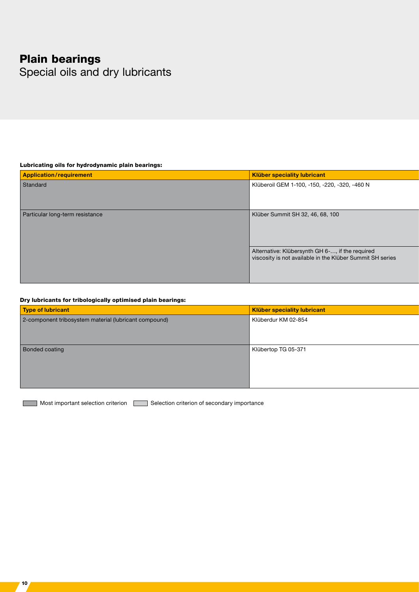# Plain bearings

Special oils and dry lubricants

#### Lubricating oils for hydrodynamic plain bearings:

| Application/requirement         | Klüber speciality lubricant                                                                                  |
|---------------------------------|--------------------------------------------------------------------------------------------------------------|
| Standard                        | Klüberoil GEM 1-100, -150, -220, -320, -460 N                                                                |
|                                 |                                                                                                              |
|                                 |                                                                                                              |
| Particular long-term resistance | Klüber Summit SH 32, 46, 68, 100                                                                             |
|                                 |                                                                                                              |
|                                 |                                                                                                              |
|                                 |                                                                                                              |
|                                 | Alternative: Klübersynth GH 6-, if the required<br>viscosity is not available in the Klüber Summit SH series |
|                                 |                                                                                                              |
|                                 |                                                                                                              |
|                                 |                                                                                                              |

#### Dry lubricants for tribologically optimised plain bearings:

10

| Type of lubricant                                     | Klüber speciality lubricant |
|-------------------------------------------------------|-----------------------------|
| 2-component tribosystem material (lubricant compound) | Klüberdur KM 02-854         |
|                                                       |                             |
|                                                       |                             |
| <b>Bonded coating</b>                                 | Klübertop TG 05-371         |
|                                                       |                             |
|                                                       |                             |
|                                                       |                             |
|                                                       |                             |

Most important selection criterion Selection criterion of secondary importance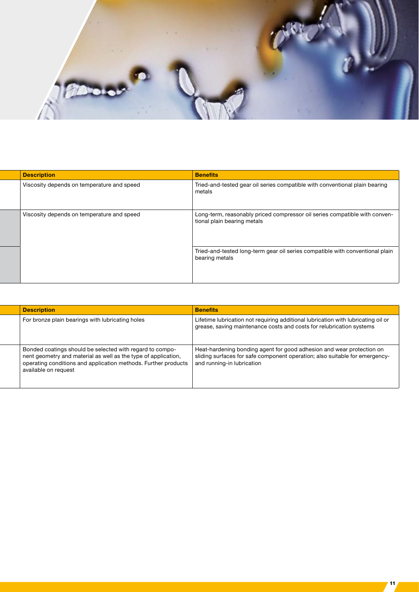

| <b>Description</b>                         | <b>Benefits</b>                                                                                           |
|--------------------------------------------|-----------------------------------------------------------------------------------------------------------|
| Viscosity depends on temperature and speed | Tried-and-tested gear oil series compatible with conventional plain bearing<br>metals                     |
| Viscosity depends on temperature and speed | Long-term, reasonably priced compressor oil series compatible with conven-<br>tional plain bearing metals |
|                                            | Tried-and-tested long-term gear oil series compatible with conventional plain<br>bearing metals           |

| <b>Description</b>                                                                                                                                                                                                                                      | <b>Benefits</b>                                                                                                                                           |
|---------------------------------------------------------------------------------------------------------------------------------------------------------------------------------------------------------------------------------------------------------|-----------------------------------------------------------------------------------------------------------------------------------------------------------|
| For bronze plain bearings with lubricating holes                                                                                                                                                                                                        | Lifetime lubrication not requiring additional lubrication with lubricating oil or<br>grease, saving maintenance costs and costs for relubrication systems |
| Bonded coatings should be selected with regard to compo-<br>nent geometry and material as well as the type of application,<br>operating conditions and application methods. Further products $\vert$ and running-in lubrication<br>available on request | Heat-hardening bonding agent for good adhesion and wear protection on<br>sliding surfaces for safe component operation; also suitable for emergency-      |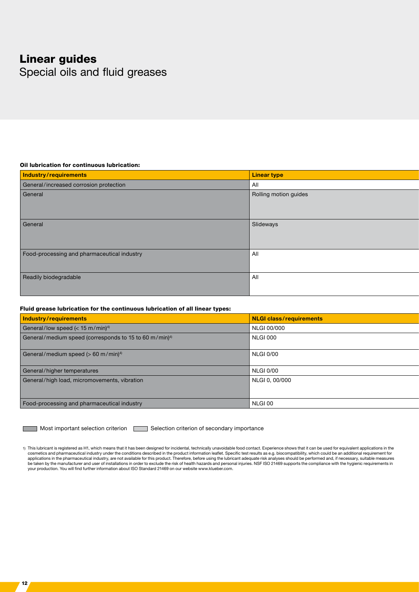### Linear guides

12

Special oils and fluid greases

#### Oil lubrication for continuous lubrication:

| Industry/requirements                       | Linear type           |
|---------------------------------------------|-----------------------|
| General/increased corrosion protection      | All                   |
| General                                     | Rolling motion guides |
|                                             |                       |
| General                                     | Slideways             |
|                                             |                       |
| Food-processing and pharmaceutical industry | All                   |
|                                             |                       |
| Readily biodegradable                       | All                   |
|                                             |                       |

#### Fluid grease lubrication for the continuous lubrication of all linear types:

| Industry/requirements                                              | NLGI class/requirements |  |
|--------------------------------------------------------------------|-------------------------|--|
| General/low speed ( $<$ 15 m/min) <sup>4)</sup>                    | NLGI 00/000             |  |
| General/medium speed (corresponds to 15 to 60 m/min) <sup>4)</sup> | NLGI 000                |  |
| General/medium speed (> 60 m/min) <sup>4)</sup>                    | <b>NLGI 0/00</b>        |  |
| General/higher temperatures                                        | <b>NLGI 0/00</b>        |  |
| General/high load, micromovements, vibration                       | NLGI 0, 00/000          |  |
| Food-processing and pharmaceutical industry                        | NLGI 00                 |  |

Most important selection criterion **Selection criterion** of secondary importance

1) This lubricant is registered as H1, which means that it has been designed for incidental, technically unavoidable food contact. Experience shows that it can be used for equivalent applications in the cosmetics and pharmaceutical industry under the conditions described in the product information leaflet. Specific test results as e.g. biocompatibility, which could be an additional requirement for<br>applications in the phar be taken by the manufacturer and user of installations in order to exclude the risk of health hazards and personal injuries. NSF ISO 21469 supports the compliance with the hygienic requirements in your production. You will find further information about ISO Standard 21469 on our website www.klueber.com.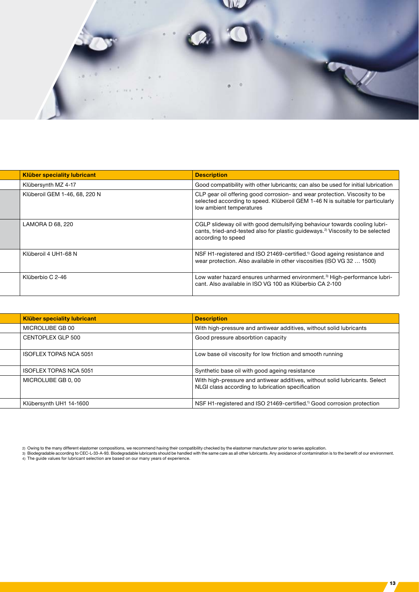

| Klüber speciality lubricant   | <b>Description</b>                                                                                                                                                                            |
|-------------------------------|-----------------------------------------------------------------------------------------------------------------------------------------------------------------------------------------------|
| Klübersynth MZ 4-17           | Good compatibility with other lubricants; can also be used for initial lubrication                                                                                                            |
| Klüberoil GEM 1-46, 68, 220 N | CLP gear oil offering good corrosion- and wear protection. Viscosity to be<br>selected according to speed. Klüberoil GEM 1-46 N is suitable for particularly  <br>low ambient temperatures    |
| LAMORA D 68, 220              | CGLP slideway oil with good demulsifying behaviour towards cooling lubri-<br>cants, tried-and-tested also for plastic guideways. <sup>2)</sup> Viscosity to be selected<br>according to speed |
| Klüberoil 4 UH1-68 N          | NSF H1-registered and ISO 21469-certified. <sup>1</sup> Good ageing resistance and<br>wear protection. Also available in other viscosities (ISO VG 32  1500)                                  |
| Klüberbio C 2-46              | Low water hazard ensures unharmed environment. <sup>3)</sup> High-performance lubri-<br>cant. Also available in ISO VG 100 as Klüberbio CA 2-100                                              |

|  | <b>Klüber speciality lubricant</b> | <b>Description</b>                                                                                                               |
|--|------------------------------------|----------------------------------------------------------------------------------------------------------------------------------|
|  | MICROLUBE GB 00                    | With high-pressure and antiwear additives, without solid lubricants                                                              |
|  | CENTOPLEX GLP 500                  | Good pressure absorbtion capacity                                                                                                |
|  | ISOFLEX TOPAS NCA 5051             | Low base oil viscosity for low friction and smooth running                                                                       |
|  | ISOFLEX TOPAS NCA 5051             | Synthetic base oil with good ageing resistance                                                                                   |
|  | MICROLUBE GB 0, 00                 | With high-pressure and antiwear additives, without solid lubricants. Select<br>NLGI class according to lubrication specification |
|  | Klübersynth UH1 14-1600            | NSF H1-registered and ISO 21469-certified. <sup>1)</sup> Good corrosion protection                                               |

 $713<sub>1</sub>$ 

<sup>2)</sup> Owing to the many different elastomer compositions, we recommend having their compatibility checked by the elastomer manufacturer prior to series application.<br>3) Biodegradable according to CEC-L-33-A-93. Biodegradable l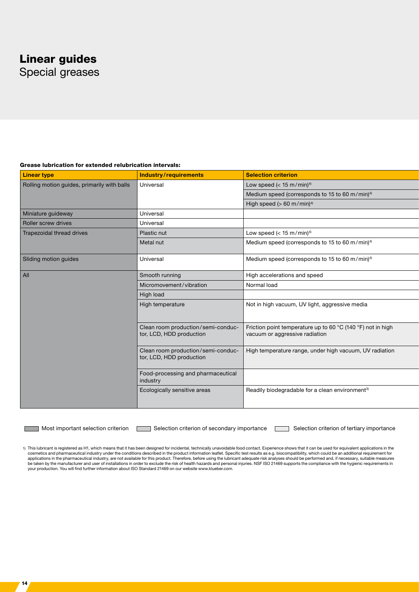# Linear guides

Special greases

#### Grease lubrication for extended relubrication intervals:

| <b>Linear type</b>                          | Industry/requirements                          | <b>Selection criterion</b>                                  |
|---------------------------------------------|------------------------------------------------|-------------------------------------------------------------|
| Rolling motion guides, primarily with balls | Universal                                      | Low speed $(< 15 \text{ m/min})$ <sup>4)</sup>              |
|                                             |                                                | Medium speed (corresponds to 15 to 60 m/min) <sup>4)</sup>  |
|                                             |                                                | High speed ( $> 60$ m/min) <sup>4)</sup>                    |
| Miniature guideway                          | Universal                                      |                                                             |
| <b>Roller screw drives</b>                  | Universal                                      |                                                             |
| Trapezoidal thread drives                   | Plastic nut                                    | Low speed $(< 15 \text{ m/min})$ <sup>4)</sup>              |
|                                             | Metal nut                                      | Medium speed (corresponds to 15 to 60 m/min) <sup>4)</sup>  |
| Sliding motion guides                       | Universal                                      | Medium speed (corresponds to 15 to 60 m/min) <sup>4)</sup>  |
| All                                         | Smooth running                                 | High accelerations and speed                                |
|                                             | Micromovement/vibration                        | Normal load                                                 |
|                                             | High load                                      |                                                             |
|                                             | High temperature                               | Not in high vacuum, UV light, aggressive media              |
|                                             |                                                |                                                             |
|                                             | Clean room production/semi-conduc-             | Friction point temperature up to 60 °C (140 °F) not in high |
|                                             | tor, LCD, HDD production                       | vacuum or aggressive radiation                              |
|                                             | Clean room production/semi-conduc-             | High temperature range, under high vacuum, UV radiation     |
|                                             | tor, LCD, HDD production                       |                                                             |
|                                             | Food-processing and pharmaceutical<br>industry |                                                             |
|                                             | Ecologically sensitive areas                   | Readily biodegradable for a clean environment <sup>3)</sup> |
|                                             |                                                |                                                             |
|                                             |                                                |                                                             |

14

Most important selection criterion Selection criterion of secondary importance Selection criterion of tertiary importance

1) This lubricant is registered as H1, which means that it has been designed for incidental, technically unavoidable food contact. Experience shows that it can be used for equivalent applications in the cosmetics and pharmaceutical industry under the conditions described in the product information leaflet. Specific test results as e.g. biocompatibility, which could be an additional requirement for<br>applications in the phar be taken by the manufacturer and user of installations in order to exclude the risk of health hazards and personal injuries. NSF ISO 21469 supports the compliance with the hygienic requirements in your production. You will find further information about ISO Standard 21469 on our website www.klueber.com.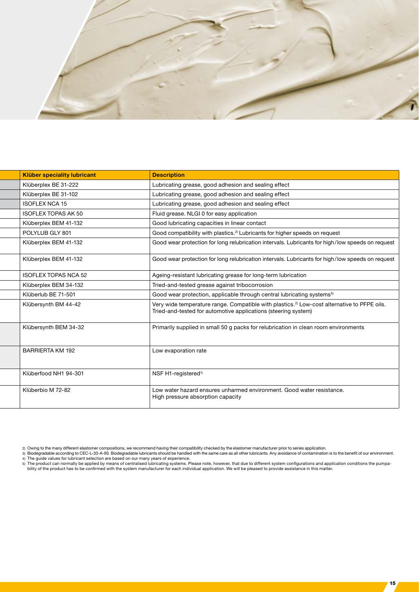

| <b>Klüber speciality lubricant</b> | <b>Description</b>                                                                                                                                                        |
|------------------------------------|---------------------------------------------------------------------------------------------------------------------------------------------------------------------------|
| Klüberplex BE 31-222               | Lubricating grease, good adhesion and sealing effect                                                                                                                      |
| Klüberplex BE 31-102               | Lubricating grease, good adhesion and sealing effect                                                                                                                      |
| <b>ISOFLEX NCA 15</b>              | Lubricating grease, good adhesion and sealing effect                                                                                                                      |
| <b>ISOFLEX TOPAS AK 50</b>         | Fluid grease. NLGI 0 for easy application                                                                                                                                 |
| Klüberplex BEM 41-132              | Good lubricating capacities in linear contact                                                                                                                             |
| POLYLUB GLY 801                    | Good compatibility with plastics. <sup>2)</sup> Lubricants for higher speeds on request                                                                                   |
| Klüberplex BEM 41-132              | Good wear protection for long relubrication intervals. Lubricants for high/low speeds on request                                                                          |
| Klüberplex BEM 41-132              | Good wear protection for long relubrication intervals. Lubricants for high/low speeds on request                                                                          |
| <b>ISOFLEX TOPAS NCA 52</b>        | Ageing-resistant lubricating grease for long-term lubrication                                                                                                             |
| Klüberplex BEM 34-132              | Tried-and-tested grease against tribocorrosion                                                                                                                            |
| Klüberlub BE 71-501                | Good wear protection, applicable through central lubricating systems <sup>5)</sup>                                                                                        |
| Klübersynth BM 44-42               | Very wide temperature range. Compatible with plastics. <sup>2)</sup> Low-cost alternative to PFPE oils.<br>Tried-and-tested for automotive applications (steering system) |
| Klübersynth BEM 34-32              | Primarily supplied in small 50 g packs for relubrication in clean room environments                                                                                       |
| <b>BARRIERTA KM 192</b>            | Low evaporation rate                                                                                                                                                      |
| Klüberfood NH1 94-301              | NSF H1-registered <sup>1)</sup>                                                                                                                                           |
| Klüberbio M 72-82                  | Low water hazard ensures unharmed environment. Good water resistance.<br>High pressure absorption capacity                                                                |

<sup>2)</sup> Owing to the many different elastomer compositions, we recommend having their compatibility checked by the elastomer manufacturer prior to series application.<br>3) Biodegradable according to CEC-L-33-A-93. Biodegradable l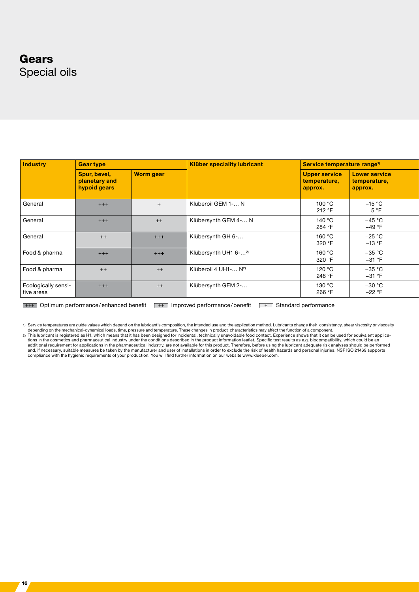### Gears Special oils

| Industry                          | <b>Gear type</b>                              |                  | Klüber speciality lubricant      | Service temperature range <sup>1)</sup>         |                                          |  |
|-----------------------------------|-----------------------------------------------|------------------|----------------------------------|-------------------------------------------------|------------------------------------------|--|
|                                   | Spur, bevel,<br>planetary and<br>hypoid gears | <b>Worm gear</b> |                                  | <b>Upper service</b><br>temperature,<br>approx. | Lower service<br>temperature,<br>approx. |  |
| General                           | $+++$                                         | $+$              | Klüberoil GEM 1- N               | 100 °C<br>212 °F                                | $-15~^\circ\mathrm{C}$<br>5 °F           |  |
| General                           | $+++$                                         | $++$             | Klübersynth GEM 4- N             | 140 °C<br>284 °F                                | $-45 °C$<br>$-49 °F$                     |  |
| General                           | $^{++}$                                       | $+++$            | Klübersynth GH 6-                | 160 °C<br>320 °F                                | $-25 °C$<br>$-13 °F$                     |  |
| Food & pharma                     | $+++$                                         | $+++$            | Klübersynth UH1 6- <sup>2)</sup> | 160 °C<br>320 °F                                | $-35 °C$<br>$-31$ °F                     |  |
| Food & pharma                     | $++$                                          | $++$             | Klüberoil 4 UH1- N <sup>2)</sup> | 120 °C<br>248 °F                                | $-35 °C$<br>$-31$ °F                     |  |
| Ecologically sensi-<br>tive areas | $+++$                                         | $++$             | Klübersynth GEM 2-               | 130 °C<br>266 °F                                | $-30\text{ °C}$<br>$-22 °F$              |  |

 $+++$  Optimum performance/enhanced benefit  $++$  Improved performance/benefit  $++$  Standard performance

1) Service temperatures are guide values which depend on the lubricant's composition, the intended use and the application method. Lubricants change their consistency, shear viscosity or viscosity<br>depending on the mechanic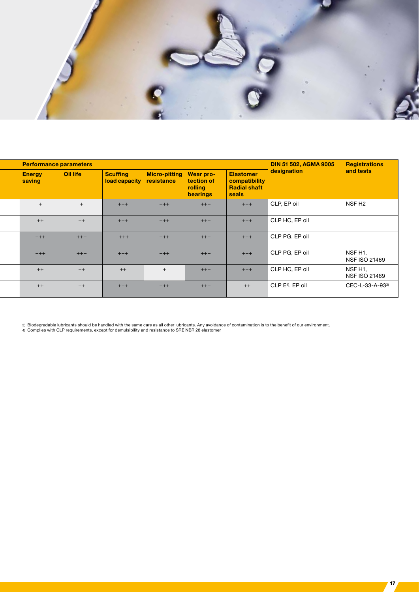

| <b>Performance parameters</b> |          |                                                      |                           |                                   |                                                                   | DIN 51 502, AGMA 9005                | <b>Registrations</b>     |
|-------------------------------|----------|------------------------------------------------------|---------------------------|-----------------------------------|-------------------------------------------------------------------|--------------------------------------|--------------------------|
| <b>Energy</b><br>saving       | Oil life | Scuffing<br>$\vert$ load capacity $\vert$ resistance | Micro-pitting   Wear pro- | tection of<br>rolling<br>bearings | <b>Elastomer</b><br>compatibility<br><b>Radial shaft</b><br>seals | designation                          | and tests                |
|                               |          | $+++$                                                | $+++$                     | $+++$                             | $+++$                                                             | CLP, EP oil                          | NSF <sub>H2</sub>        |
| $++$                          | $++$     | $+++$                                                | $+++$                     | $+++$                             | $+++$                                                             | CLP HC, EP oil                       |                          |
| $+++$                         | $+++$    | $+++$                                                | $+++$                     | $+++$                             | $+++$                                                             | CLP PG, EP oil                       |                          |
| $+++$                         | $+++$    | $+++$                                                | $+++$                     | $+++$                             | $+++$                                                             | CLP PG, EP oil                       | NSF H1,<br>NSF ISO 21469 |
| $++$                          | $++$     | $++$                                                 |                           | $+++$                             | $+++$                                                             | CLP HC, EP oil                       | NSF H1,<br>NSF ISO 21469 |
| $++$                          | $++$     | $+++$                                                | $+++$                     | $+++$                             | $++$                                                              | $\vert$ CLP E <sup>4)</sup> , EP oil | CEC-L-33-A-933)          |

 $17<sub>2</sub>$ 

3) Biodegradable lubricants should be handled with the same care as all other lubricants. Any avoidance of contamination is to the benefit of our environment.<br>4) Complies with CLP requirements, except for demulsibility and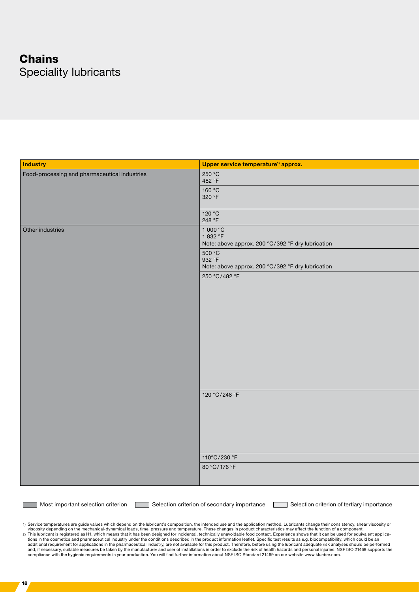# **Chains** Speciality lubricants

| Industry                                      | Upper service temperature <sup>1)</sup> approx.                    |
|-----------------------------------------------|--------------------------------------------------------------------|
| Food-processing and pharmaceutical industries | 250 °C<br>482 °F                                                   |
|                                               | 160 °C                                                             |
|                                               | 320 °F                                                             |
|                                               | 120 °C<br>248 °F                                                   |
| Other industries                              | 1 000 $^{\circ}$ C                                                 |
|                                               | 1832 °F                                                            |
|                                               | Note: above approx. 200 °C/392 °F dry lubrication<br>500 °C        |
|                                               | 932 °F                                                             |
|                                               | Note: above approx. 200 °C/392 °F dry lubrication<br>250 °C/482 °F |
|                                               |                                                                    |
|                                               |                                                                    |
|                                               |                                                                    |
|                                               |                                                                    |
|                                               |                                                                    |
|                                               |                                                                    |
|                                               |                                                                    |
|                                               |                                                                    |
|                                               |                                                                    |
|                                               |                                                                    |
|                                               | 120 °C/248 °F                                                      |
|                                               |                                                                    |
|                                               |                                                                    |
|                                               |                                                                    |
|                                               |                                                                    |
|                                               |                                                                    |
|                                               | 110°C/230 °F                                                       |
|                                               | 80 °C/176 °F                                                       |
|                                               |                                                                    |
|                                               |                                                                    |

Most important selection criterion Selection criterion of secondary importance Selection criterion of tertiary importance

1) Service temperatures are guide values which depend on the lubricant's composition, the intended use and the application method. Lubricants change their consistency, shear viscosity or<br>viscosity depending on the mechanic 2) This lubricant is registered as H1, which means that it has been designed for incidental, technically unavoidable food contact. Experience shows that it can be used for equivalent applications in the cosmetics and pharm compliance with the hygienic requirements in your production. You will find further information about NSF ISO Standard 21469 on our website www.klueber.com.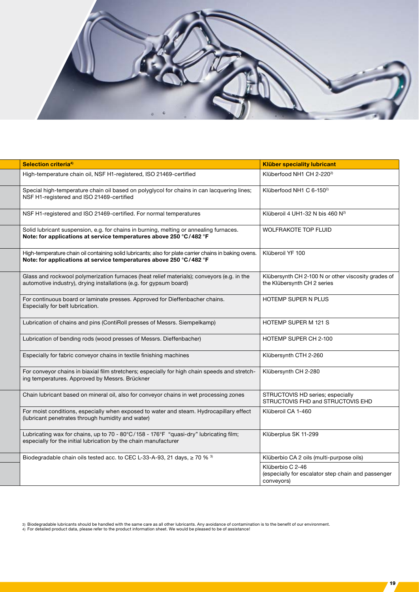

| Klüberfood NH1 CH 2-220 <sup>2)</sup><br>High-temperature chain oil, NSF H1-registered, ISO 21469-certified<br>Klüberfood NH1 C 6-150 <sup>2)</sup><br>Special high-temperature chain oil based on polyglycol for chains in can lacquering lines;<br>NSF H1-registered and ISO 21469-certified<br>NSF H1-registered and ISO 21469-certified. For normal temperatures<br>Klüberoil 4 UH1-32 N bis 460 N <sup>2)</sup><br>Solid lubricant suspension, e.g. for chains in burning, melting or annealing furnaces.<br><b>WOLFRAKOTE TOP FLUID</b><br>Note: for applications at service temperatures above 250 °C/482 °F<br>High-temperature chain oil containing solid lubricants; also for plate carrier chains in baking ovens.   Klüberoil YF 100<br>Note: for applications at service temperatures above 250 °C/482 °F<br>Glass and rockwool polymerization furnaces (heat relief materials); conveyors (e.g. in the<br>Klübersynth CH 2-100 N or other viscosity grades of<br>automotive industry), drying installations (e.g. for gypsum board)<br>the Klübersynth CH 2 series<br>HOTEMP SUPER N PLUS<br>For continuous board or laminate presses. Approved for Dieffenbacher chains.<br>Especially for belt lubrication.<br>Lubrication of chains and pins (ContiRoll presses of Messrs. Siempelkamp)<br>HOTEMP SUPER M 121 S<br>Lubrication of bending rods (wood presses of Messrs. Dieffenbacher)<br>HOTEMP SUPER CH 2-100<br>Especially for fabric conveyor chains in textile finishing machines<br>Klübersynth CTH 2-260<br>For conveyor chains in biaxial film stretchers; especially for high chain speeds and stretch-<br>Klübersynth CH 2-280<br>ing temperatures. Approved by Messrs. Brückner<br>Chain lubricant based on mineral oil, also for conveyor chains in wet processing zones<br>STRUCTOVIS HD series; especially<br>STRUCTOVIS FHD and STRUCTOVIS EHD<br>For moist conditions, especially when exposed to water and steam. Hydrocapillary effect<br>Klüberoil CA 1-460<br>(lubricant penetrates through humidity and water)<br>Klüberplus SK 11-299<br>Lubricating wax for chains, up to 70 - 80°C/158 - 176°F "quasi-dry" lubricating film;<br>especially for the initial lubrication by the chain manufacturer<br>Biodegradable chain oils tested acc. to CEC L-33-A-93, 21 days, ≥ 70 % 3)<br>Klüberbio CA 2 oils (multi-purpose oils)<br>Klüberbio C 2-46<br>(especially for escalator step chain and passenger<br>conveyors) | Selection criteria <sup>4)</sup> | <b>Klüber speciality lubricant</b> |
|------------------------------------------------------------------------------------------------------------------------------------------------------------------------------------------------------------------------------------------------------------------------------------------------------------------------------------------------------------------------------------------------------------------------------------------------------------------------------------------------------------------------------------------------------------------------------------------------------------------------------------------------------------------------------------------------------------------------------------------------------------------------------------------------------------------------------------------------------------------------------------------------------------------------------------------------------------------------------------------------------------------------------------------------------------------------------------------------------------------------------------------------------------------------------------------------------------------------------------------------------------------------------------------------------------------------------------------------------------------------------------------------------------------------------------------------------------------------------------------------------------------------------------------------------------------------------------------------------------------------------------------------------------------------------------------------------------------------------------------------------------------------------------------------------------------------------------------------------------------------------------------------------------------------------------------------------------------------------------------------------------------------------------------------------------------------------------------------------------------------------------------------------------------------------------------------------------------------------------------------------------------------------------------------------------------------------------------------------------------------------------------------------------------------------------------------------------|----------------------------------|------------------------------------|
|                                                                                                                                                                                                                                                                                                                                                                                                                                                                                                                                                                                                                                                                                                                                                                                                                                                                                                                                                                                                                                                                                                                                                                                                                                                                                                                                                                                                                                                                                                                                                                                                                                                                                                                                                                                                                                                                                                                                                                                                                                                                                                                                                                                                                                                                                                                                                                                                                                                            |                                  |                                    |
|                                                                                                                                                                                                                                                                                                                                                                                                                                                                                                                                                                                                                                                                                                                                                                                                                                                                                                                                                                                                                                                                                                                                                                                                                                                                                                                                                                                                                                                                                                                                                                                                                                                                                                                                                                                                                                                                                                                                                                                                                                                                                                                                                                                                                                                                                                                                                                                                                                                            |                                  |                                    |
|                                                                                                                                                                                                                                                                                                                                                                                                                                                                                                                                                                                                                                                                                                                                                                                                                                                                                                                                                                                                                                                                                                                                                                                                                                                                                                                                                                                                                                                                                                                                                                                                                                                                                                                                                                                                                                                                                                                                                                                                                                                                                                                                                                                                                                                                                                                                                                                                                                                            |                                  |                                    |
|                                                                                                                                                                                                                                                                                                                                                                                                                                                                                                                                                                                                                                                                                                                                                                                                                                                                                                                                                                                                                                                                                                                                                                                                                                                                                                                                                                                                                                                                                                                                                                                                                                                                                                                                                                                                                                                                                                                                                                                                                                                                                                                                                                                                                                                                                                                                                                                                                                                            |                                  |                                    |
|                                                                                                                                                                                                                                                                                                                                                                                                                                                                                                                                                                                                                                                                                                                                                                                                                                                                                                                                                                                                                                                                                                                                                                                                                                                                                                                                                                                                                                                                                                                                                                                                                                                                                                                                                                                                                                                                                                                                                                                                                                                                                                                                                                                                                                                                                                                                                                                                                                                            |                                  |                                    |
|                                                                                                                                                                                                                                                                                                                                                                                                                                                                                                                                                                                                                                                                                                                                                                                                                                                                                                                                                                                                                                                                                                                                                                                                                                                                                                                                                                                                                                                                                                                                                                                                                                                                                                                                                                                                                                                                                                                                                                                                                                                                                                                                                                                                                                                                                                                                                                                                                                                            |                                  |                                    |
|                                                                                                                                                                                                                                                                                                                                                                                                                                                                                                                                                                                                                                                                                                                                                                                                                                                                                                                                                                                                                                                                                                                                                                                                                                                                                                                                                                                                                                                                                                                                                                                                                                                                                                                                                                                                                                                                                                                                                                                                                                                                                                                                                                                                                                                                                                                                                                                                                                                            |                                  |                                    |
|                                                                                                                                                                                                                                                                                                                                                                                                                                                                                                                                                                                                                                                                                                                                                                                                                                                                                                                                                                                                                                                                                                                                                                                                                                                                                                                                                                                                                                                                                                                                                                                                                                                                                                                                                                                                                                                                                                                                                                                                                                                                                                                                                                                                                                                                                                                                                                                                                                                            |                                  |                                    |
|                                                                                                                                                                                                                                                                                                                                                                                                                                                                                                                                                                                                                                                                                                                                                                                                                                                                                                                                                                                                                                                                                                                                                                                                                                                                                                                                                                                                                                                                                                                                                                                                                                                                                                                                                                                                                                                                                                                                                                                                                                                                                                                                                                                                                                                                                                                                                                                                                                                            |                                  |                                    |
|                                                                                                                                                                                                                                                                                                                                                                                                                                                                                                                                                                                                                                                                                                                                                                                                                                                                                                                                                                                                                                                                                                                                                                                                                                                                                                                                                                                                                                                                                                                                                                                                                                                                                                                                                                                                                                                                                                                                                                                                                                                                                                                                                                                                                                                                                                                                                                                                                                                            |                                  |                                    |
|                                                                                                                                                                                                                                                                                                                                                                                                                                                                                                                                                                                                                                                                                                                                                                                                                                                                                                                                                                                                                                                                                                                                                                                                                                                                                                                                                                                                                                                                                                                                                                                                                                                                                                                                                                                                                                                                                                                                                                                                                                                                                                                                                                                                                                                                                                                                                                                                                                                            |                                  |                                    |
|                                                                                                                                                                                                                                                                                                                                                                                                                                                                                                                                                                                                                                                                                                                                                                                                                                                                                                                                                                                                                                                                                                                                                                                                                                                                                                                                                                                                                                                                                                                                                                                                                                                                                                                                                                                                                                                                                                                                                                                                                                                                                                                                                                                                                                                                                                                                                                                                                                                            |                                  |                                    |
|                                                                                                                                                                                                                                                                                                                                                                                                                                                                                                                                                                                                                                                                                                                                                                                                                                                                                                                                                                                                                                                                                                                                                                                                                                                                                                                                                                                                                                                                                                                                                                                                                                                                                                                                                                                                                                                                                                                                                                                                                                                                                                                                                                                                                                                                                                                                                                                                                                                            |                                  |                                    |
|                                                                                                                                                                                                                                                                                                                                                                                                                                                                                                                                                                                                                                                                                                                                                                                                                                                                                                                                                                                                                                                                                                                                                                                                                                                                                                                                                                                                                                                                                                                                                                                                                                                                                                                                                                                                                                                                                                                                                                                                                                                                                                                                                                                                                                                                                                                                                                                                                                                            |                                  |                                    |
|                                                                                                                                                                                                                                                                                                                                                                                                                                                                                                                                                                                                                                                                                                                                                                                                                                                                                                                                                                                                                                                                                                                                                                                                                                                                                                                                                                                                                                                                                                                                                                                                                                                                                                                                                                                                                                                                                                                                                                                                                                                                                                                                                                                                                                                                                                                                                                                                                                                            |                                  |                                    |
|                                                                                                                                                                                                                                                                                                                                                                                                                                                                                                                                                                                                                                                                                                                                                                                                                                                                                                                                                                                                                                                                                                                                                                                                                                                                                                                                                                                                                                                                                                                                                                                                                                                                                                                                                                                                                                                                                                                                                                                                                                                                                                                                                                                                                                                                                                                                                                                                                                                            |                                  |                                    |

3) Biodegradable lubricants should be handled with the same care as all other lubricants. Any avoidance of contamination is to the benefit of our environment.<br>4) For detailed product data, please refer to the product infor

19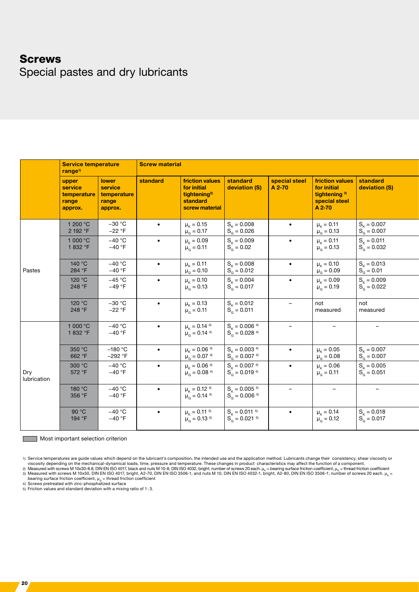### **Screws**

Special pastes and dry lubricants

|                    | <b>Service temperature</b><br>range <sup>1)</sup>   |                                                            | <b>Screw material</b> |                                                                                          |                                                                                          |                          |                                                                                                |                                             |  |  |
|--------------------|-----------------------------------------------------|------------------------------------------------------------|-----------------------|------------------------------------------------------------------------------------------|------------------------------------------------------------------------------------------|--------------------------|------------------------------------------------------------------------------------------------|---------------------------------------------|--|--|
|                    | upper<br>service<br>temperature<br>range<br>approx. | <b>lower</b><br>service<br>temperature<br>range<br>approx. | standard              | friction values<br>for initial<br>tightening <sup>2)</sup><br>standard<br>screw material | standard<br>deviation (S)                                                                | special steel<br>A 2-70  | friction values standard<br>for initial<br>tightening <sup>3)</sup><br>special steel<br>A 2-70 | deviation (S)                               |  |  |
|                    | 1 200 °C<br>2 192 °F                                | $-30 °C$<br>$-22 °F$                                       | $\bullet$             | $\mu_{\rm K} = 0.15$<br>$\mu_{\rm G} = 0.17$                                             | $S_{\rm K} = 0.008$<br>$S_0 = 0.026$                                                     | $\bullet$                | $\mu_{\rm K}$ = 0.11<br>$\mu_{G} = 0.13$                                                       | $S_k = 0.007$<br>$S_0 = 0.007$              |  |  |
|                    | 1000 °C<br>1832 °F                                  | $-40 °C$<br>$-40 °F$                                       | $\bullet$             | $\mu_{\rm K} = 0.09$<br>$\mu_{\rm G} = 0.11$                                             | $S_k = 0.009$<br>$S_G = 0.02$                                                            | $\bullet$                | $\mu_{\rm K} = 0.11$<br>$\mu_{\rm G} = 0.13$                                                   | $S_{\kappa} = 0.011$<br>$S_{\rm g} = 0.032$ |  |  |
| Pastes             | 140 °C<br>284 °F                                    | $-40 °C$<br>$-40 °F$                                       | $\bullet$             | $\mu_{\rm K} = 0.11$<br>$\mu_{G}^{\prime} = 0.10$                                        | $S_{\rm K} = 0.008$<br>$S_{\alpha}^{P} = 0.012$                                          | $\bullet$                | $\mu_{\rm K}$ = 0.10<br>$\mu_{G} = 0.09$                                                       | $S_{\kappa} = 0.013$<br>$S_G^0 = 0.01$      |  |  |
|                    | 120 °C<br>248 °F                                    | $-45 °C$<br>$-49 °F$                                       | $\bullet$             | $\mu_{\rm K} = 0.10$<br>$\mu_{\rm G} = 0.13$                                             | $S_k = 0.004$<br>$S_0 = 0.017$                                                           | $\bullet$                | $\mu_{\rm K}$ = 0.09<br>$\mu_{\text{\tiny G}}$ = 0.19                                          | $S_{\kappa} = 0.009$<br>$S_{\rm g} = 0.022$ |  |  |
|                    | 120 °C<br>248 °F                                    | $-30 °C$<br>$-22 °F$                                       | $\bullet$             | $\mu_{\rm K} = 0.13$<br>$\mu_{\rm G} = 0.11$                                             | $\left  \begin{array}{l} S_{\kappa} = 0.012 \\ S_{\text{G}} = 0.011 \end{array} \right $ | $\qquad \qquad -$        | not<br>measured                                                                                | not<br>measured                             |  |  |
|                    | 1 000 °C<br>1832 °F                                 | $-40 °C$<br>$-40 °F$                                       | $\bullet$             | $\mu_{\rm K} = 0.14$ <sup>4)</sup><br>$\mu_{\rm G} = 0.14^{4}$                           | $S_{\kappa} = 0.006$ <sup>4)</sup><br>$S_0^2 = 0.028$ <sup>4)</sup>                      | $\overline{\phantom{a}}$ | $-$                                                                                            | $\overline{\phantom{a}}$                    |  |  |
|                    | 350 °C<br>662 °F                                    | $-180 °C$<br>$-292$ °F                                     | $\bullet$             | $\mu_{\rm K} = 0.06$ <sup>4)</sup><br>$\mu_{\rm G} = 0.07$ <sup>4)</sup>                 | $S_{\rm k}$ = 0.003 <sup>4)</sup><br>$S_0^2 = 0.007^{4}$                                 | $\bullet$                | $\mu_{\rm K}$ = 0.05<br>$\mu_{\text{\tiny G}}=0.08$                                            | $S_{\kappa} = 0.007$<br>$S_0 = 0.007$       |  |  |
| Dry<br>lubrication | 300 °C<br>572 °F                                    | $-40 °C$<br>$-40 °F$                                       | $\bullet$             | $\mu_{\rm K} = 0.06$ <sup>4)</sup><br>$\mu_{\rm G} = 0.08$ <sup>4)</sup>                 | $S_{\kappa} = 0.007$ <sup>4)</sup><br>$S_0 = 0.019^{4}$                                  | $\bullet$                | $\mu_{\rm K} = 0.06$<br>$\mu_{\rm G} = 0.11$                                                   | $S_k = 0.005$<br>$S_0 = 0.051$              |  |  |
|                    | 180 °C<br>356 °F                                    | $-40 °C$<br>$-40 °F$                                       | $\bullet$             | $\mu_{\rm K} = 0.12^{4}$<br>$\mu_{\text{G}} = 0.14^{4}$                                  | $S_{\rm k}$ = 0.005 <sup>4)</sup><br>$S_{\text{G}}^{\text{A}} = 0.006$ <sup>4)</sup>     | $\overline{\phantom{a}}$ | $\qquad \qquad -$                                                                              | $\overline{\phantom{a}}$                    |  |  |
|                    | 90 °C<br>194 °F                                     | $-40 °C$<br>$-40 °F$                                       | $\bullet$             | $\mu_{\rm K} = 0.11^{-5}$<br>$\mu_G = 0.13^{5}$                                          | $S_{K} = 0.011^{5}$<br>$S_0^2 = 0.021^{5}$                                               | $\bullet$                | $\mu_{\rm K}$ = 0.14<br>$\mu_{G}^{2} = 0.12$                                                   | $S_{k} = 0.018$<br>$S_0^2 = 0.017$          |  |  |

**Most important selection criterion** 

1) Service temperatures are guide values which depend on the lubricant's composition, the intended use and the application method. Lubricants change their consistency, shear viscosity or

viscosity depending on the mechanical-dynamical loads, time, pressure and temperature. These changes in product characteristics may affect the function of a component.<br>2) Measured with screws M 10x30-8.8, DIN EN ISO 4017,

bearing surface friction coefficient,  $\mu_{\alpha}$  = thread friction coefficient<br>4) Screws pretreated with zinc-phosphatized surface

5) Friction values and standard deviation with a mixing ratio of 1 : 3.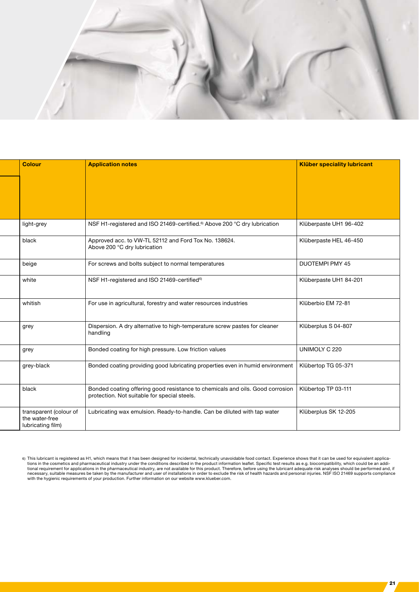

| <b>Colour</b>                                                 | <b>Application notes</b>                                                                                                      | <b>Klüber speciality lubricant</b> |
|---------------------------------------------------------------|-------------------------------------------------------------------------------------------------------------------------------|------------------------------------|
| light-grey                                                    | NSF H1-registered and ISO 21469-certified. <sup>6)</sup> Above 200 °C dry lubrication                                         | Klüberpaste UH1 96-402             |
| black                                                         | Approved acc. to VW-TL 52112 and Ford Tox No. 138624.<br>Above 200 °C dry lubrication                                         | Klüberpaste HEL 46-450             |
| beige                                                         | For screws and bolts subject to normal temperatures                                                                           | DUOTEMPI PMY 45                    |
| white                                                         | NSF H1-registered and ISO 21469-certified <sup>6)</sup>                                                                       | Klüberpaste UH1 84-201             |
| whitish                                                       | For use in agricultural, forestry and water resources industries                                                              | Klüberbio EM 72-81                 |
| grey                                                          | Dispersion. A dry alternative to high-temperature screw pastes for cleaner<br>handling                                        | Klüberplus S 04-807                |
| grey                                                          | Bonded coating for high pressure. Low friction values                                                                         | UNIMOLY C 220                      |
| grey-black                                                    | Bonded coating providing good lubricating properties even in humid environment                                                | Klübertop TG 05-371                |
| black                                                         | Bonded coating offering good resistance to chemicals and oils. Good corrosion<br>protection. Not suitable for special steels. | Klübertop TP 03-111                |
| transparent (colour of<br>the water-free<br>lubricating film) | Lubricating wax emulsion. Ready-to-handle. Can be diluted with tap water                                                      | Klüberplus SK 12-205               |

<sup>6)</sup> This lubricant is registered as H1, which means that it has been designed for incidental, technically unavoidable food contact. Experience shows that it can be used for equivalent applications in the cosmetics and pharmaceutical industry under the conditions described in the product information leaflet. Specific test results as e.g. biocompatibility, which could be an addi-<br>tional requirement for applicati with the hygienic requirements of your production. Further information on our website www.klueber.com.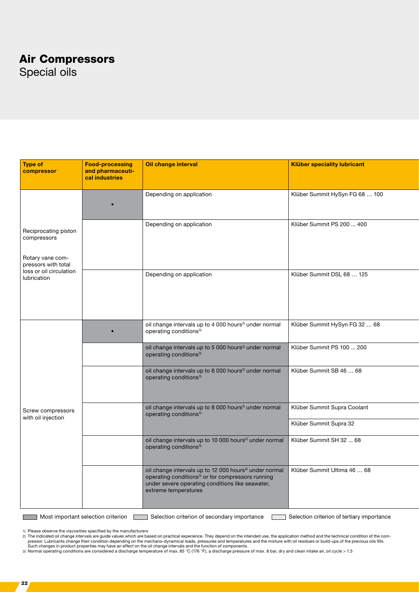### Air Compressors

Special oils

| Type of<br>compressor                                              | <b>Food-processing</b><br>and pharmaceuti-<br>cal industries | Oil change interval                                                                                                                                                                                             | <b>Klüber speciality lubricant</b> |
|--------------------------------------------------------------------|--------------------------------------------------------------|-----------------------------------------------------------------------------------------------------------------------------------------------------------------------------------------------------------------|------------------------------------|
|                                                                    | $\bullet$                                                    | Depending on application                                                                                                                                                                                        | Klüber Summit HySyn FG 68  100     |
| Reciprocating piston<br>compressors                                |                                                              | Depending on application                                                                                                                                                                                        | Klüber Summit PS 200  400          |
| Rotary vane com-<br>pressors with total<br>loss or oil circulation |                                                              |                                                                                                                                                                                                                 |                                    |
| lubrication                                                        |                                                              | Depending on application                                                                                                                                                                                        | Klüber Summit DSL 68  125          |
|                                                                    |                                                              |                                                                                                                                                                                                                 |                                    |
|                                                                    | $\bullet$                                                    | oil change intervals up to 4 000 hours <sup>2)</sup> under normal<br>operating conditions <sup>3)</sup>                                                                                                         | Klüber Summit HySyn FG 32  68      |
|                                                                    |                                                              | oil change intervals up to 5 000 hours <sup>2)</sup> under normal<br>operating conditions <sup>3)</sup>                                                                                                         | Klüber Summit PS 100  200          |
|                                                                    |                                                              | oil change intervals up to 8 000 hours <sup>2)</sup> under normal<br>operating conditions <sup>3)</sup>                                                                                                         | Klüber Summit SB 46  68            |
| Screw compressors<br>with oil injection                            |                                                              | oil change intervals up to 8 000 hours <sup>2)</sup> under normal<br>operating conditions <sup>3)</sup>                                                                                                         | Klüber Summit Supra Coolant        |
|                                                                    |                                                              |                                                                                                                                                                                                                 | Klüber Summit Supra 32             |
|                                                                    |                                                              | oil change intervals up to 10 000 hours <sup>2)</sup> under normal<br>operating conditions <sup>3)</sup>                                                                                                        | Klüber Summit SH 32  68            |
|                                                                    |                                                              | oil change intervals up to 12 000 hours <sup>2)</sup> under normal<br>operating conditions <sup>3)</sup> or for compressors running<br>under severe operating conditions like seawater,<br>extreme temperatures | Klüber Summit Ultima 46  68        |
|                                                                    |                                                              |                                                                                                                                                                                                                 |                                    |

Most important selection criterion Selection criterion of secondary importance Selection criterion of tertiary importance

1) Please observe the viscosities specified by the manufacturers

2) The indicated oil change intervals are guide values which are based on practical experience. They depend on the intended use, the application method and the technical condition of the compressor. Lubricants change their condition depending on the mechano-dynamical loads, pressures and temperatures and the mixture with oil residues or build-ups of the previous oils fills.<br>Such changes in product properties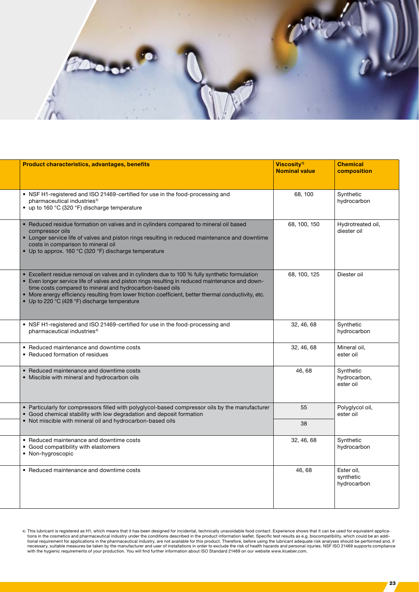

| <b>Product characteristics, advantages, benefits</b>                                                                                                                                                                                                                                                                                                                                                                       | Viscosity <sup>1)</sup><br><b>Nominal value</b> | <b>Chemical</b><br>composition         |
|----------------------------------------------------------------------------------------------------------------------------------------------------------------------------------------------------------------------------------------------------------------------------------------------------------------------------------------------------------------------------------------------------------------------------|-------------------------------------------------|----------------------------------------|
| • NSF H1-registered and ISO 21469-certified for use in the food-processing and<br>pharmaceutical industries <sup>4)</sup><br>• up to 160 °C (320 °F) discharge temperature                                                                                                                                                                                                                                                 | 68, 100                                         | Synthetic<br>hydrocarbon               |
| • Reduced residue formation on valves and in cylinders compared to mineral oil based<br>compressor oils<br>Longer service life of valves and piston rings resulting in reduced maintenance and downtime<br>costs in comparison to mineral oil<br>• Up to approx. 160 °C (320 °F) discharge temperature                                                                                                                     | 68, 100, 150                                    | Hydrotreated oil,<br>diester oil       |
| • Excellent residue removal on valves and in cylinders due to 100 % fully synthetic formulation<br>• Even longer service life of valves and piston rings resulting in reduced maintenance and down-<br>time costs compared to mineral and hydrocarbon-based oils<br>• More energy efficiency resulting from lower friction coefficient, better thermal conductivity, etc.<br>• Up to 220 °C (428 °F) discharge temperature | 68, 100, 125                                    | Diester oil                            |
| • NSF H1-registered and ISO 21469-certified for use in the food-processing and<br>pharmaceutical industries <sup>4)</sup>                                                                                                                                                                                                                                                                                                  | 32, 46, 68                                      | Synthetic<br>hydrocarbon               |
| • Reduced maintenance and downtime costs<br>• Reduced formation of residues                                                                                                                                                                                                                                                                                                                                                | 32, 46, 68                                      | Mineral oil,<br>ester oil              |
| • Reduced maintenance and downtime costs<br>• Miscible with mineral and hydrocarbon oils                                                                                                                                                                                                                                                                                                                                   | 46,68                                           | Synthetic<br>hydrocarbon,<br>ester oil |
| • Particularly for compressors filled with polyglycol-based compressor oils by the manufacturer<br>• Good chemical stability with low degradation and deposit formation                                                                                                                                                                                                                                                    | 55                                              | Polyglycol oil,<br>ester oil           |
| • Not miscible with mineral oil and hydrocarbon-based oils                                                                                                                                                                                                                                                                                                                                                                 | 38                                              |                                        |
| • Reduced maintenance and downtime costs<br>• Good compatibility with elastomers<br>• Non-hygroscopic                                                                                                                                                                                                                                                                                                                      | 32, 46, 68                                      | Synthetic<br>hydrocarbon               |
| • Reduced maintenance and downtime costs                                                                                                                                                                                                                                                                                                                                                                                   | 46,68                                           | Ester oil,<br>synthetic<br>hydrocarbon |

4) This lubricant is registered as H1, which means that it has been designed for incidental, technically unavoidable food contact. Experience shows that it can be used for equivalent applications in the cosmetics and pharm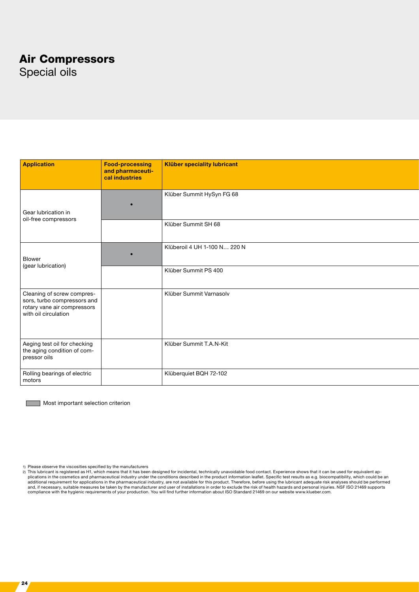### Air Compressors

Special oils

| Application                                                                                                      | Food-processing<br>and pharmaceuti-<br>cal industries | <b>Klüber speciality lubricant</b> |  |
|------------------------------------------------------------------------------------------------------------------|-------------------------------------------------------|------------------------------------|--|
| Gear lubrication in<br>oil-free compressors                                                                      | $\bullet$                                             | Klüber Summit HySyn FG 68          |  |
|                                                                                                                  |                                                       | Klüber Summit SH 68                |  |
| Blower<br>(gear lubrication)                                                                                     | $\bullet$                                             | Klüberoil 4 UH 1-100 N 220 N       |  |
|                                                                                                                  |                                                       | Klüber Summit PS 400               |  |
| Cleaning of screw compres-<br>sors, turbo compressors and<br>rotary vane air compressors<br>with oil circulation |                                                       | Klüber Summit Varnasolv            |  |
| Aeging test oil for checking<br>the aging condition of com-<br>pressor oils                                      |                                                       | Klüber Summit T.A.N-Kit            |  |
| Rolling bearings of electric<br>motors                                                                           |                                                       | Klüberquiet BQH 72-102             |  |

**Most important selection criterion** 

<sup>1)</sup> Please observe the viscosities specified by the manufacturers<br>2) This lubricant is registered as H1, which means that it has been designed for incidental, technically unavoidable food contact. Experience shows that it c plications in the cosmetics and pharmaceutical industry under the conditions described in the product information leaflet. Specific test results as e.g. biocompatibility, which could be an<br>additional requirement for applic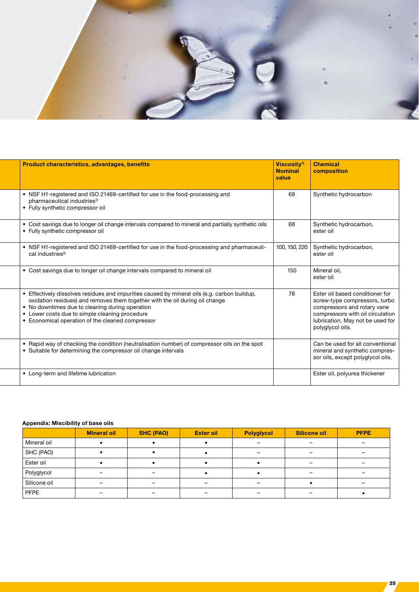

| <b>Product characteristics, advantages, benefits</b>                                                                                                                                                                                                                                                                                  | Viscositv <sup>1)</sup><br><b>Nominal</b><br>value | <b>Chemical</b><br>composition                                                                                                                                                              |
|---------------------------------------------------------------------------------------------------------------------------------------------------------------------------------------------------------------------------------------------------------------------------------------------------------------------------------------|----------------------------------------------------|---------------------------------------------------------------------------------------------------------------------------------------------------------------------------------------------|
| • NSF H1-registered and ISO 21469-certified for use in the food-processing and<br>pharmaceutical industries <sup>2)</sup><br>• Fully synthetic compressor oil                                                                                                                                                                         | 68                                                 | Synthetic hydrocarbon                                                                                                                                                                       |
| • Cost savings due to longer oil change intervals compared to mineral and partially synthetic oils<br>• Fully synthetic compressor oil                                                                                                                                                                                                | 68                                                 | Synthetic hydrocarbon,<br>ester oil                                                                                                                                                         |
| • NSF H1-registered and ISO 21469-certified for use in the food-processing and pharmaceuti-<br>cal industries <sup>2)</sup>                                                                                                                                                                                                           | 100, 150, 220                                      | Synthetic hydrocarbon,<br>ester oil                                                                                                                                                         |
| • Cost savings due to longer oil change intervals compared to mineral oil                                                                                                                                                                                                                                                             | 150                                                | Mineral oil.<br>ester oil                                                                                                                                                                   |
| • Effectively dissolves residues and impurities caused by mineral oils (e.g. carbon buildup,<br>oxidation residues) and removes them together with the oil during oil change<br>• No downtimes due to cleaning during operation<br>• Lower costs due to simple cleaning procedure<br>• Economical operation of the cleaned compressor | 78                                                 | Ester oil based conditioner for<br>screw-type compressors, turbo<br>compressors and rotary vane<br>compressors with oil circulation<br>lubrication. May not be used for<br>polyglycol oils. |
| • Rapid way of checking the condition (neutralisation number) of compressor oils on the spot<br>• Suitable for determining the compressor oil change intervals                                                                                                                                                                        |                                                    | Can be used for all conventional<br>mineral and synthetic compres-<br>sor oils, except polyglycol oils.                                                                                     |
| • Long-term and lifetime lubrication                                                                                                                                                                                                                                                                                                  |                                                    | Ester oil, polyurea thickener                                                                                                                                                               |

#### Appendix: Miscibility of base oils

|              | <b>Mineral oil</b> | <b>SHC (PAO)</b>         | <b>Ester oil</b>         | <b>Polyglycol</b> | Silicone oil             | <b>PFPE</b> |
|--------------|--------------------|--------------------------|--------------------------|-------------------|--------------------------|-------------|
| Mineral oil  |                    |                          |                          |                   |                          |             |
| SHC (PAO)    |                    |                          |                          |                   | $\overline{\phantom{a}}$ |             |
| Ester oil    |                    |                          |                          |                   | ۰                        |             |
| Polyglycol   |                    |                          |                          |                   |                          |             |
| Silicone oil |                    | $\overline{\phantom{0}}$ | $\overline{\phantom{0}}$ |                   |                          |             |
| <b>PFPE</b>  |                    |                          |                          |                   |                          |             |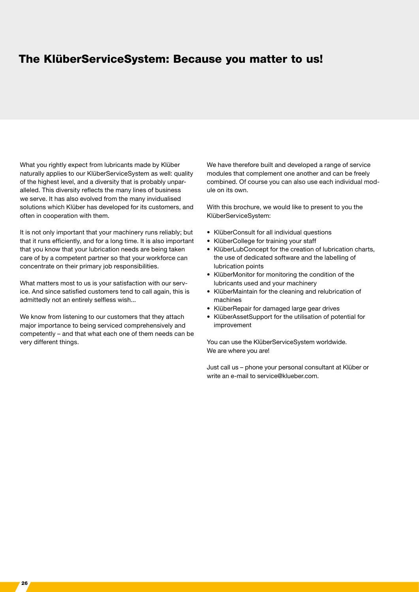### The KlüberServiceSystem: Because you matter to us!

What you rightly expect from lubricants made by Klüber naturally applies to our KlüberServiceSystem as well: quality of the highest level, and a diversity that is probably unparalleled. This diversity reflects the many lines of business we serve. It has also evolved from the many invidualised solutions which Klüber has developed for its customers, and often in cooperation with them.

It is not only important that your machinery runs reliably; but that it runs efficiently, and for a long time. It is also important that you know that your lubrication needs are being taken care of by a competent partner so that your workforce can concentrate on their primary job responsibilities.

What matters most to us is your satisfaction with our service. And since satisfied customers tend to call again, this is admittedly not an entirely selfless wish...

We know from listening to our customers that they attach major importance to being serviced comprehensively and competently – and that what each one of them needs can be very different things.

We have therefore built and developed a range of service modules that complement one another and can be freely combined. Of course you can also use each individual module on its own.

With this brochure, we would like to present to you the KlüberServiceSystem:

- KlüberConsult for all individual questions
- KlüberCollege for training your staff
- KlüberLubConcept for the creation of lubrication charts, the use of dedicated software and the labelling of lubrication points
- KlüberMonitor for monitoring the condition of the lubricants used and your machinery
- KlüberMaintain for the cleaning and relubrication of machines
- KlüberRepair for damaged large gear drives
- KlüberAssetSupport for the utilisation of potential for improvement

You can use the KlüberServiceSystem worldwide. We are where you are!

Just call us – phone your personal consultant at Klüber or write an e-mail to service@klueber.com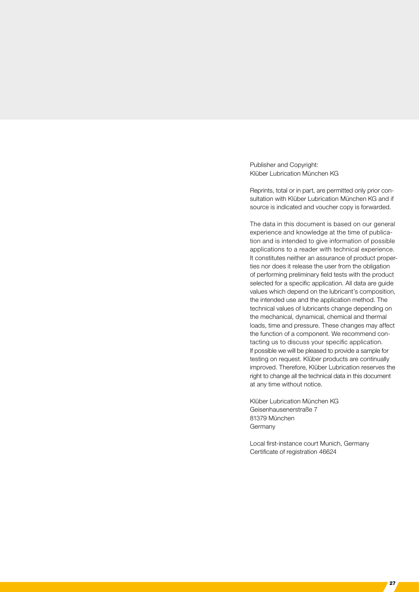Publisher and Copyright: Klüber Lubrication München KG

Reprints, total or in part, are permitted only prior consultation with Klüber Lubrication München KG and if source is indicated and voucher copy is forwarded.

The data in this document is based on our general experience and knowledge at the time of publication and is intended to give information of possible applications to a reader with technical experience. It constitutes neither an assurance of product properties nor does it release the user from the obligation of performing preliminary field tests with the product selected for a specific application. All data are guide values which depend on the lubricant's composition, the intended use and the application method. The technical values of lubricants change depending on the mechanical, dynamical, chemical and thermal loads, time and pressure. These changes may affect the function of a component. We recommend contacting us to discuss your specific application. If possible we will be pleased to provide a sample for testing on request. Klüber products are continually improved. Therefore, Klüber Lubrication reserves the right to change all the technical data in this document at any time without notice.

Klüber Lubrication München KG Geisenhausenerstraße 7 81379 München Germany

Local first-instance court Munich, Germany Certificate of registration 46624